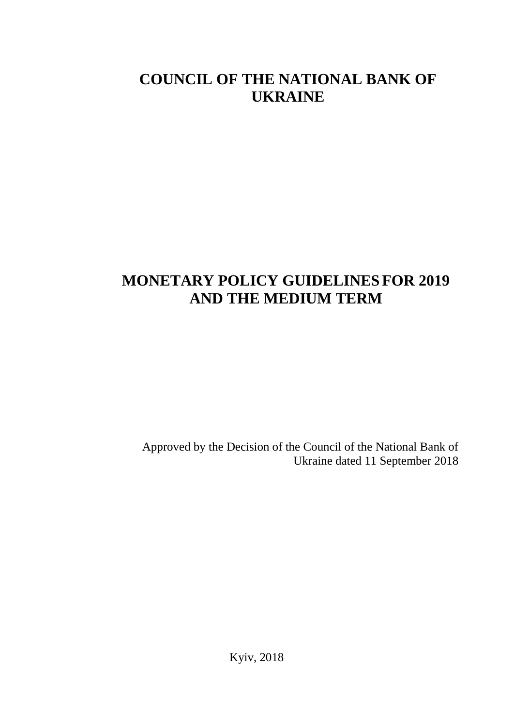## **COUNCIL OF THE NATIONAL BANK OF UKRAINE**

# **MONETARY POLICY GUIDELINESFOR 2019 AND THE MEDIUM TERM**

Approved by the Decision of the Council of the National Bank of Ukraine dated 11 September 2018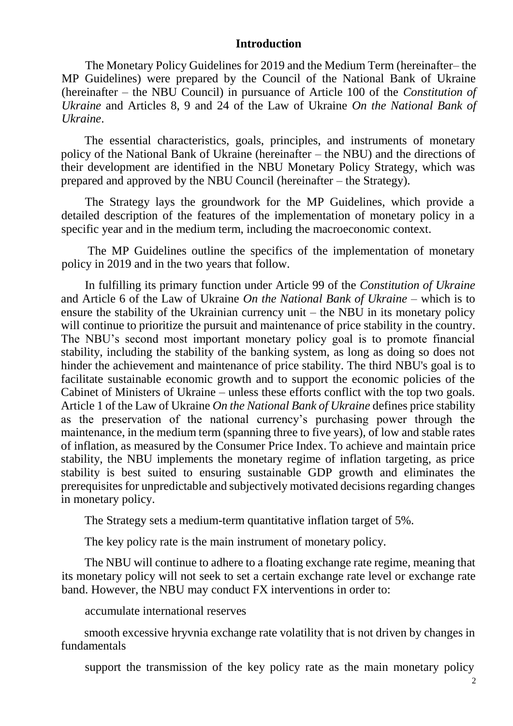#### **Introduction**

The Monetary Policy Guidelines for 2019 and the Medium Term (hereinafter– the MP Guidelines) were prepared by the Council of the National Bank of Ukraine (hereinafter – the NBU Council) in pursuance of Article 100 of the *Constitution of Ukraine* and Articles 8, 9 and 24 of the Law of Ukraine *On the National Bank of Ukraine*.

The essential characteristics, goals, principles, and instruments of monetary policy of the National Bank of Ukraine (hereinafter – the NBU) and the directions of their development are identified in the NBU Monetary Policy Strategy, which was prepared and approved by the NBU Council (hereinafter – the Strategy).

The Strategy lays the groundwork for the MP Guidelines, which provide a detailed description of the features of the implementation of monetary policy in a specific year and in the medium term, including the macroeconomic context.

The MP Guidelines outline the specifics of the implementation of monetary policy in 2019 and in the two years that follow.

In fulfilling its primary function under Article 99 of the *Constitution of Ukraine* and Article 6 of the Law of Ukraine *On the National Bank of Ukraine* – which is to ensure the stability of the Ukrainian currency unit – the NBU in its monetary policy will continue to prioritize the pursuit and maintenance of price stability in the country. The NBU's second most important monetary policy goal is to promote financial stability, including the stability of the banking system, as long as doing so does not hinder the achievement and maintenance of price stability. The third NBU's goal is to facilitate sustainable economic growth and to support the economic policies of the Cabinet of Ministers of Ukraine – unless these efforts conflict with the top two goals. Article 1 of the Law of Ukraine *On the National Bank of Ukraine* defines price stability as the preservation of the national currency's purchasing power through the maintenance, in the medium term (spanning three to five years), of low and stable rates of inflation, as measured by the Consumer Price Index. To achieve and maintain price stability, the NBU implements the monetary regime of inflation targeting, as price stability is best suited to ensuring sustainable GDP growth and eliminates the prerequisites for unpredictable and subjectively motivated decisions regarding changes in monetary policy.

The Strategy sets a medium-term quantitative inflation target of 5%.

The key policy rate is the main instrument of monetary policy.

The NBU will continue to adhere to a floating exchange rate regime, meaning that its monetary policy will not seek to set a certain exchange rate level or exchange rate band. However, the NBU may conduct FX interventions in order to:

accumulate international reserves

smooth excessive hryvnia exchange rate volatility that is not driven by changes in fundamentals

support the transmission of the key policy rate as the main monetary policy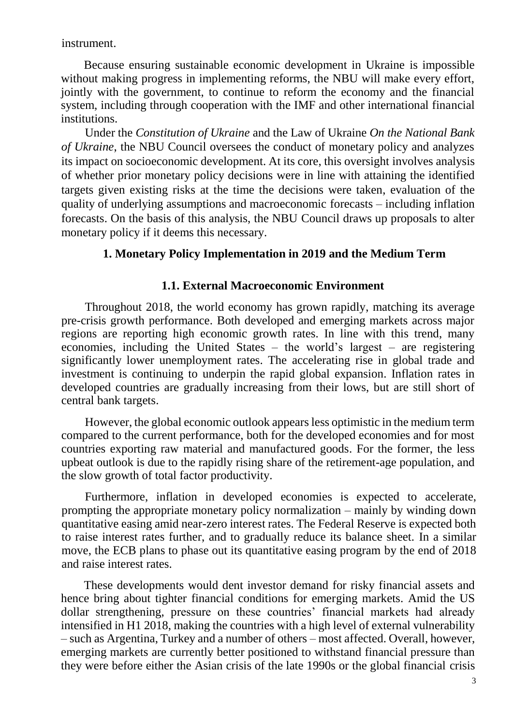instrument.

Because ensuring sustainable economic development in Ukraine is impossible without making progress in implementing reforms, the NBU will make every effort, jointly with the government, to continue to reform the economy and the financial system, including through cooperation with the IMF and other international financial institutions.

Under the *Constitution of Ukraine* and the Law of Ukraine *On the National Bank of Ukraine*, the NBU Council oversees the conduct of monetary policy and analyzes its impact on socioeconomic development. At its core, this oversight involves analysis of whether prior monetary policy decisions were in line with attaining the identified targets given existing risks at the time the decisions were taken, evaluation of the quality of underlying assumptions and macroeconomic forecasts – including inflation forecasts. On the basis of this analysis, the NBU Council draws up proposals to alter monetary policy if it deems this necessary.

#### **1. Monetary Policy Implementation in 2019 and the Medium Term**

#### **1.1. External Macroeconomic Environment**

Throughout 2018, the world economy has grown rapidly, matching its average pre-crisis growth performance. Both developed and emerging markets across major regions are reporting high economic growth rates. In line with this trend, many economies, including the United States – the world's largest – are registering significantly lower unemployment rates. The accelerating rise in global trade and investment is continuing to underpin the rapid global expansion. Inflation rates in developed countries are gradually increasing from their lows, but are still short of central bank targets.

However, the global economic outlook appears less optimistic in the medium term compared to the current performance, both for the developed economies and for most countries exporting raw material and manufactured goods. For the former, the less upbeat outlook is due to the rapidly rising share of the retirement-age population, and the slow growth of total factor productivity.

Furthermore, inflation in developed economies is expected to accelerate, prompting the appropriate monetary policy normalization – mainly by winding down quantitative easing amid near-zero interest rates. The Federal Reserve is expected both to raise interest rates further, and to gradually reduce its balance sheet. In a similar move, the ECB plans to phase out its quantitative easing program by the end of 2018 and raise interest rates.

These developments would dent investor demand for risky financial assets and hence bring about tighter financial conditions for emerging markets. Amid the US dollar strengthening, pressure on these countries' financial markets had already intensified in H1 2018, making the countries with a high level of external vulnerability – such as Argentina, Turkey and a number of others – most affected. Overall, however, emerging markets are currently better positioned to withstand financial pressure than they were before either the Asian crisis of the late 1990s or the global financial crisis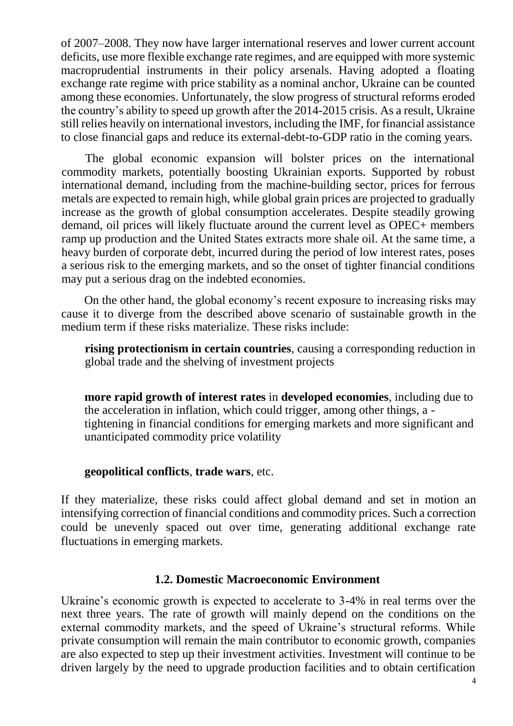of 2007–2008. They now have larger international reserves and lower current account deficits, use more flexible exchange rate regimes, and are equipped with more systemic macroprudential instruments in their policy arsenals. Having adopted a floating exchange rate regime with price stability as a nominal anchor, Ukraine can be counted among these economies. Unfortunately, the slow progress of structural reforms eroded the country's ability to speed up growth after the 2014-2015 crisis. As a result, Ukraine still relies heavily on international investors, including the IMF, for financial assistance to close financial gaps and reduce its external-debt-to-GDP ratio in the coming years.

The global economic expansion will bolster prices on the international commodity markets, potentially boosting Ukrainian exports. Supported by robust international demand, including from the machine-building sector, prices for ferrous metals are expected to remain high, while global grain prices are projected to gradually increase as the growth of global consumption accelerates. Despite steadily growing demand, oil prices will likely fluctuate around the current level as OPEC+ members ramp up production and the United States extracts more shale oil. At the same time, a heavy burden of corporate debt, incurred during the period of low interest rates, poses a serious risk to the emerging markets, and so the onset of tighter financial conditions may put a serious drag on the indebted economies.

On the other hand, the global economy's recent exposure to increasing risks may cause it to diverge from the described above scenario of sustainable growth in the medium term if these risks materialize. These risks include:

**rising protectionism in certain countries**, causing a corresponding reduction in global trade and the shelving of investment projects

**more rapid growth of interest rates** in **developed economies**, including due to the acceleration in inflation, which could trigger, among other things, a tightening in financial conditions for emerging markets and more significant and unanticipated commodity price volatility

#### **geopolitical conflicts**, **trade wars**, etc.

If they materialize, these risks could affect global demand and set in motion an intensifying correction of financial conditions and commodity prices. Such a correction could be unevenly spaced out over time, generating additional exchange rate fluctuations in emerging markets.

#### **1.2. Domestic Macroeconomic Environment**

Ukraine's economic growth is expected to accelerate to 3-4% in real terms over the next three years. The rate of growth will mainly depend on the conditions on the external commodity markets, and the speed of Ukraine's structural reforms. While private consumption will remain the main contributor to economic growth, companies are also expected to step up their investment activities. Investment will continue to be driven largely by the need to upgrade production facilities and to obtain certification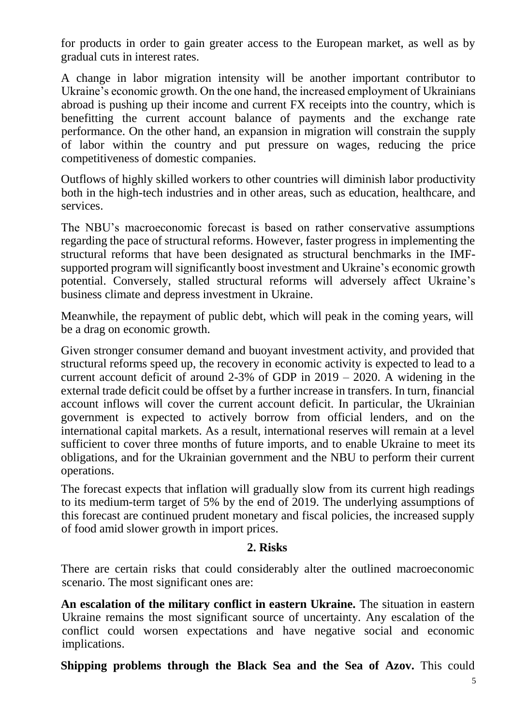for products in order to gain greater access to the European market, as well as by gradual cuts in interest rates.

A change in labor migration intensity will be another important contributor to Ukraine's economic growth. On the one hand, the increased employment of Ukrainians abroad is pushing up their income and current FX receipts into the country, which is benefitting the current account balance of payments and the exchange rate performance. On the other hand, an expansion in migration will constrain the supply of labor within the country and put pressure on wages, reducing the price competitiveness of domestic companies.

Outflows of highly skilled workers to other countries will diminish labor productivity both in the high-tech industries and in other areas, such as education, healthcare, and services.

The NBU's macroeconomic forecast is based on rather conservative assumptions regarding the pace of structural reforms. However, faster progress in implementing the structural reforms that have been designated as structural benchmarks in the IMFsupported program will significantly boost investment and Ukraine's economic growth potential. Conversely, stalled structural reforms will adversely affect Ukraine's business climate and depress investment in Ukraine.

Meanwhile, the repayment of public debt, which will peak in the coming years, will be a drag on economic growth.

Given stronger consumer demand and buoyant investment activity, and provided that structural reforms speed up, the recovery in economic activity is expected to lead to a current account deficit of around 2-3% of GDP in 2019 – 2020. A widening in the external trade deficit could be offset by a further increase in transfers. In turn, financial account inflows will cover the current account deficit. In particular, the Ukrainian government is expected to actively borrow from official lenders, and on the international capital markets. As a result, international reserves will remain at a level sufficient to cover three months of future imports, and to enable Ukraine to meet its obligations, and for the Ukrainian government and the NBU to perform their current operations.

The forecast expects that inflation will gradually slow from its current high readings to its medium-term target of 5% by the end of 2019. The underlying assumptions of this forecast are continued prudent monetary and fiscal policies, the increased supply of food amid slower growth in import prices.

### **2. Risks**

There are certain risks that could considerably alter the outlined macroeconomic scenario. The most significant ones are:

**An escalation of the military conflict in eastern Ukraine.** The situation in eastern Ukraine remains the most significant source of uncertainty. Any escalation of the conflict could worsen expectations and have negative social and economic implications.

**Shipping problems through the Black Sea and the Sea of Azov.** This could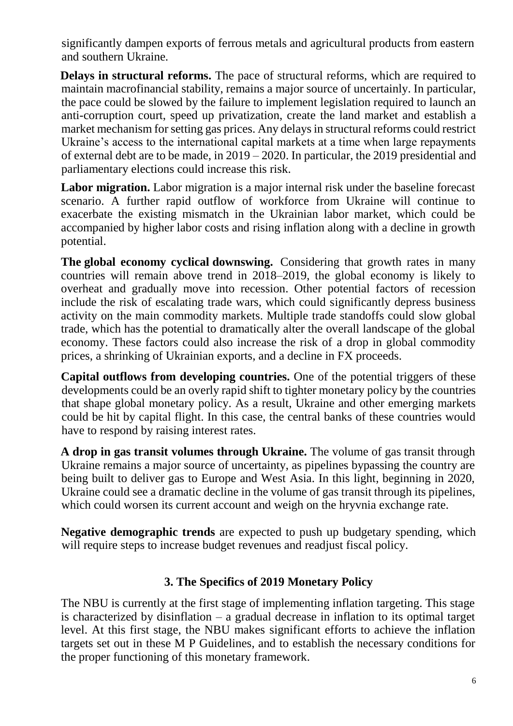significantly dampen exports of ferrous metals and agricultural products from eastern and southern Ukraine.

**Delays in structural reforms.** The pace of structural reforms, which are required to maintain macrofinancial stability, remains a major source of uncertainly. In particular, the pace could be slowed by the failure to implement legislation required to launch an anti-corruption court, speed up privatization, create the land market and establish a market mechanism for setting gas prices. Any delays in structural reforms could restrict Ukraine's access to the international capital markets at a time when large repayments of external debt are to be made, in 2019 – 2020. In particular, the 2019 presidential and parliamentary elections could increase this risk.

**Labor migration.** Labor migration is a major internal risk under the baseline forecast scenario. A further rapid outflow of workforce from Ukraine will continue to exacerbate the existing mismatch in the Ukrainian labor market, which could be accompanied by higher labor costs and rising inflation along with a decline in growth potential.

**The global economy cyclical downswing.** Considering that growth rates in many countries will remain above trend in 2018–2019, the global economy is likely to overheat and gradually move into recession. Other potential factors of recession include the risk of escalating trade wars, which could significantly depress business activity on the main commodity markets. Multiple trade standoffs could slow global trade, which has the potential to dramatically alter the overall landscape of the global economy. These factors could also increase the risk of a drop in global commodity prices, a shrinking of Ukrainian exports, and a decline in FX proceeds.

**Capital outflows from developing countries.** One of the potential triggers of these developments could be an overly rapid shift to tighter monetary policy by the countries that shape global monetary policy. As a result, Ukraine and other emerging markets could be hit by capital flight. In this case, the central banks of these countries would have to respond by raising interest rates.

**A drop in gas transit volumes through Ukraine.** The volume of gas transit through Ukraine remains a major source of uncertainty, as pipelines bypassing the country are being built to deliver gas to Europe and West Asia. In this light, beginning in 2020, Ukraine could see a dramatic decline in the volume of gas transit through its pipelines, which could worsen its current account and weigh on the hryvnia exchange rate.

**Negative demographic trends** are expected to push up budgetary spending, which will require steps to increase budget revenues and readjust fiscal policy.

### **3. The Specifics of 2019 Monetary Policy**

The NBU is currently at the first stage of implementing inflation targeting. This stage is characterized by disinflation – a gradual decrease in inflation to its optimal target level. At this first stage, the NBU makes significant efforts to achieve the inflation targets set out in these M P Guidelines, and to establish the necessary conditions for the proper functioning of this monetary framework.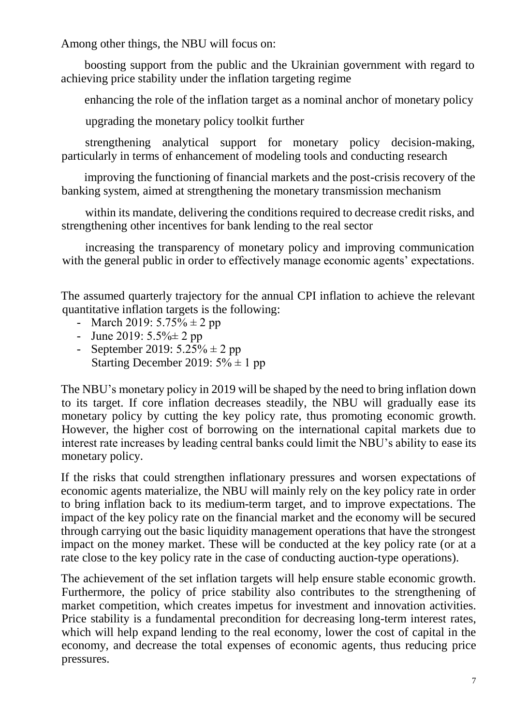Among other things, the NBU will focus on:

boosting support from the public and the Ukrainian government with regard to achieving price stability under the inflation targeting regime

enhancing the role of the inflation target as a nominal anchor of monetary policy

upgrading the monetary policy toolkit further

strengthening analytical support for monetary policy decision-making, particularly in terms of enhancement of modeling tools and conducting research

improving the functioning of financial markets and the post-crisis recovery of the banking system, aimed at strengthening the monetary transmission mechanism

within its mandate, delivering the conditions required to decrease credit risks, and strengthening other incentives for bank lending to the real sector

increasing the transparency of monetary policy and improving communication with the general public in order to effectively manage economic agents' expectations.

The assumed quarterly trajectory for the annual CPI inflation to achieve the relevant quantitative inflation targets is the following:

- March 2019:  $5.75\% \pm 2$  pp
- June 2019:  $5.5\% \pm 2$  pp
- September 2019:  $5.25\% \pm 2$  pp Starting December 2019:  $5\% \pm 1$  pp

The NBU's monetary policy in 2019 will be shaped by the need to bring inflation down to its target. If core inflation decreases steadily, the NBU will gradually ease its monetary policy by cutting the key policy rate, thus promoting economic growth. However, the higher cost of borrowing on the international capital markets due to interest rate increases by leading central banks could limit the NBU's ability to ease its monetary policy.

If the risks that could strengthen inflationary pressures and worsen expectations of economic agents materialize, the NBU will mainly rely on the key policy rate in order to bring inflation back to its medium-term target, and to improve expectations. The impact of the key policy rate on the financial market and the economy will be secured through carrying out the basic liquidity management operations that have the strongest impact on the money market. These will be conducted at the key policy rate (or at a rate close to the key policy rate in the case of conducting auction-type operations).

The achievement of the set inflation targets will help ensure stable economic growth. Furthermore, the policy of price stability also contributes to the strengthening of market competition, which creates impetus for investment and innovation activities. Price stability is a fundamental precondition for decreasing long-term interest rates, which will help expand lending to the real economy, lower the cost of capital in the economy, and decrease the total expenses of economic agents, thus reducing price pressures.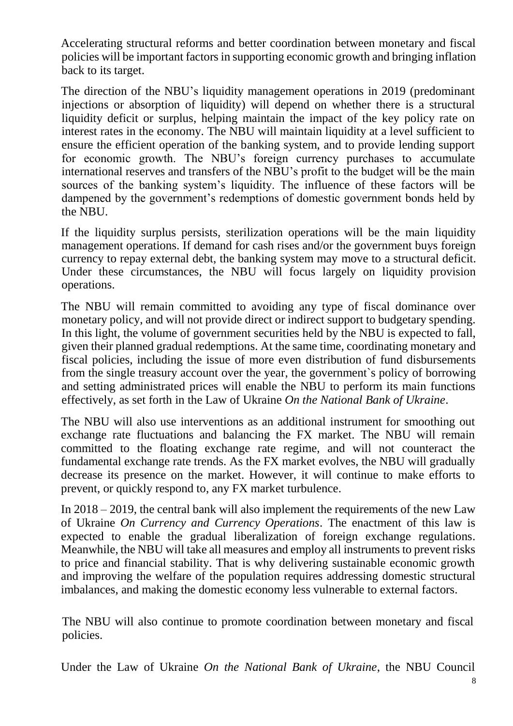Accelerating structural reforms and better coordination between monetary and fiscal policies will be important factors in supporting economic growth and bringing inflation back to its target.

The direction of the NBU's liquidity management operations in 2019 (predominant injections or absorption of liquidity) will depend on whether there is a structural liquidity deficit or surplus, helping maintain the impact of the key policy rate on interest rates in the economy. The NBU will maintain liquidity at a level sufficient to ensure the efficient operation of the banking system, and to provide lending support for economic growth. The NBU's foreign currency purchases to accumulate international reserves and transfers of the NBU's profit to the budget will be the main sources of the banking system's liquidity. The influence of these factors will be dampened by the government's redemptions of domestic government bonds held by the NBU.

If the liquidity surplus persists, sterilization operations will be the main liquidity management operations. If demand for cash rises and/or the government buys foreign currency to repay external debt, the banking system may move to a structural deficit. Under these circumstances, the NBU will focus largely on liquidity provision operations.

The NBU will remain committed to avoiding any type of fiscal dominance over monetary policy, and will not provide direct or indirect support to budgetary spending. In this light, the volume of government securities held by the NBU is expected to fall, given their planned gradual redemptions. At the same time, coordinating monetary and fiscal policies, including the issue of more even distribution of fund disbursements from the single treasury account over the year, the government`s policy of borrowing and setting administrated prices will enable the NBU to perform its main functions effectively, as set forth in the Law of Ukraine *On the National Bank of Ukraine*.

The NBU will also use interventions as an additional instrument for smoothing out exchange rate fluctuations and balancing the FX market. The NBU will remain committed to the floating exchange rate regime, and will not counteract the fundamental exchange rate trends. As the FX market evolves, the NBU will gradually decrease its presence on the market. However, it will continue to make efforts to prevent, or quickly respond to, any FX market turbulence.

In 2018 – 2019, the central bank will also implement the requirements of the new Law of Ukraine *On Currency and Currency Operations*. The enactment of this law is expected to enable the gradual liberalization of foreign exchange regulations. Meanwhile, the NBU will take all measures and employ all instruments to prevent risks to price and financial stability. That is why delivering sustainable economic growth and improving the welfare of the population requires addressing domestic structural imbalances, and making the domestic economy less vulnerable to external factors.

The NBU will also continue to promote coordination between monetary and fiscal policies.

Under the Law of Ukraine *On the National Bank of Ukraine*, the NBU Council